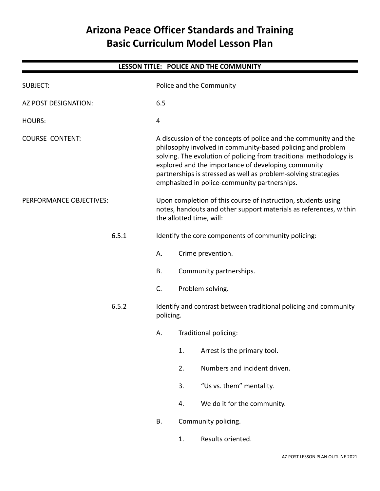# **Arizona Peace Officer Standards and Training Basic Curriculum Model Lesson Plan**

| LESSON TITLE: POLICE AND THE COMMUNITY |       |                                                                                                                                                                                                                                                                                                                                                                                |    |                              |  |  |  |  |
|----------------------------------------|-------|--------------------------------------------------------------------------------------------------------------------------------------------------------------------------------------------------------------------------------------------------------------------------------------------------------------------------------------------------------------------------------|----|------------------------------|--|--|--|--|
| <b>SUBJECT:</b>                        |       | Police and the Community                                                                                                                                                                                                                                                                                                                                                       |    |                              |  |  |  |  |
| AZ POST DESIGNATION:                   |       | 6.5                                                                                                                                                                                                                                                                                                                                                                            |    |                              |  |  |  |  |
| <b>HOURS:</b>                          |       | $\overline{4}$                                                                                                                                                                                                                                                                                                                                                                 |    |                              |  |  |  |  |
| <b>COURSE CONTENT:</b>                 |       | A discussion of the concepts of police and the community and the<br>philosophy involved in community-based policing and problem<br>solving. The evolution of policing from traditional methodology is<br>explored and the importance of developing community<br>partnerships is stressed as well as problem-solving strategies<br>emphasized in police-community partnerships. |    |                              |  |  |  |  |
| PERFORMANCE OBJECTIVES:                |       | Upon completion of this course of instruction, students using<br>notes, handouts and other support materials as references, within<br>the allotted time, will:                                                                                                                                                                                                                 |    |                              |  |  |  |  |
|                                        | 6.5.1 | Identify the core components of community policing:                                                                                                                                                                                                                                                                                                                            |    |                              |  |  |  |  |
|                                        |       | А.                                                                                                                                                                                                                                                                                                                                                                             |    | Crime prevention.            |  |  |  |  |
|                                        |       | <b>B.</b>                                                                                                                                                                                                                                                                                                                                                                      |    | Community partnerships.      |  |  |  |  |
|                                        |       | C.                                                                                                                                                                                                                                                                                                                                                                             |    | Problem solving.             |  |  |  |  |
| 6.5.2                                  |       | Identify and contrast between traditional policing and community<br>policing.                                                                                                                                                                                                                                                                                                  |    |                              |  |  |  |  |
|                                        |       | Α.                                                                                                                                                                                                                                                                                                                                                                             |    | Traditional policing:        |  |  |  |  |
|                                        |       |                                                                                                                                                                                                                                                                                                                                                                                | 1. | Arrest is the primary tool.  |  |  |  |  |
|                                        |       |                                                                                                                                                                                                                                                                                                                                                                                | 2. | Numbers and incident driven. |  |  |  |  |
|                                        |       |                                                                                                                                                                                                                                                                                                                                                                                | 3. | "Us vs. them" mentality.     |  |  |  |  |
|                                        |       |                                                                                                                                                                                                                                                                                                                                                                                | 4. | We do it for the community.  |  |  |  |  |
|                                        |       | <b>B.</b>                                                                                                                                                                                                                                                                                                                                                                      |    | Community policing.          |  |  |  |  |
|                                        |       |                                                                                                                                                                                                                                                                                                                                                                                | 1. | Results oriented.            |  |  |  |  |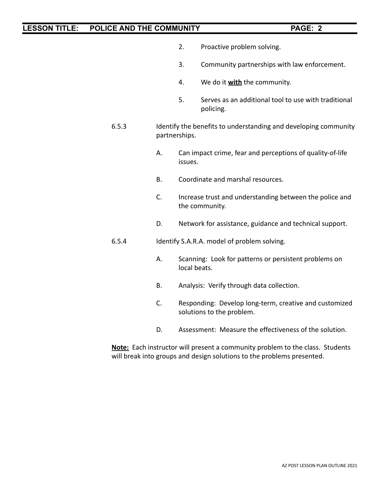- 2. Proactive problem solving.
- 3. Community partnerships with law enforcement.
- 4. We do it **with** the community.
- 5. Serves as an additional tool to use with traditional policing.
- 6.5.3 Identify the benefits to understanding and developing community partnerships.
	- A. Can impact crime, fear and perceptions of quality-of-life issues.
	- B. Coordinate and marshal resources.
	- C. Increase trust and understanding between the police and the community.
	- D. Network for assistance, guidance and technical support.
- 6.5.4 Identify S.A.R.A. model of problem solving.
	- A. Scanning: Look for patterns or persistent problems on local beats.
	- B. Analysis: Verify through data collection.
	- C. Responding: Develop long-term, creative and customized solutions to the problem.
	- D. Assessment: Measure the effectiveness of the solution.

**Note:** Each instructor will present a community problem to the class. Students will break into groups and design solutions to the problems presented.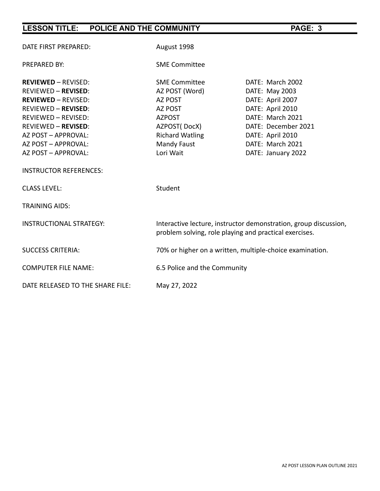| DATE FIRST PREPARED:             | August 1998                                                                                                                |                     |  |  |  |
|----------------------------------|----------------------------------------------------------------------------------------------------------------------------|---------------------|--|--|--|
| <b>PREPARED BY:</b>              | <b>SME Committee</b>                                                                                                       |                     |  |  |  |
| <b>REVIEWED - REVISED:</b>       | <b>SME Committee</b>                                                                                                       | DATE: March 2002    |  |  |  |
| <b>REVIEWED - REVISED:</b>       | AZ POST (Word)                                                                                                             | DATE: May 2003      |  |  |  |
| <b>REVIEWED - REVISED:</b>       | <b>AZ POST</b>                                                                                                             | DATE: April 2007    |  |  |  |
| <b>REVIEWED - REVISED:</b>       | AZ POST                                                                                                                    | DATE: April 2010    |  |  |  |
| <b>REVIEWED - REVISED:</b>       | <b>AZPOST</b>                                                                                                              | DATE: March 2021    |  |  |  |
| <b>REVIEWED - REVISED:</b>       | AZPOST(DocX)                                                                                                               | DATE: December 2021 |  |  |  |
| AZ POST - APPROVAL:              | <b>Richard Watling</b>                                                                                                     | DATE: April 2010    |  |  |  |
| AZ POST - APPROVAL:              | Mandy Faust                                                                                                                | DATE: March 2021    |  |  |  |
| AZ POST - APPROVAL:              | Lori Wait                                                                                                                  | DATE: January 2022  |  |  |  |
| <b>INSTRUCTOR REFERENCES:</b>    |                                                                                                                            |                     |  |  |  |
| <b>CLASS LEVEL:</b>              | Student                                                                                                                    |                     |  |  |  |
| <b>TRAINING AIDS:</b>            |                                                                                                                            |                     |  |  |  |
| <b>INSTRUCTIONAL STRATEGY:</b>   | Interactive lecture, instructor demonstration, group discussion,<br>problem solving, role playing and practical exercises. |                     |  |  |  |
| <b>SUCCESS CRITERIA:</b>         | 70% or higher on a written, multiple-choice examination.                                                                   |                     |  |  |  |
| <b>COMPUTER FILE NAME:</b>       | 6.5 Police and the Community                                                                                               |                     |  |  |  |
| DATE RELEASED TO THE SHARE FILE: | May 27, 2022                                                                                                               |                     |  |  |  |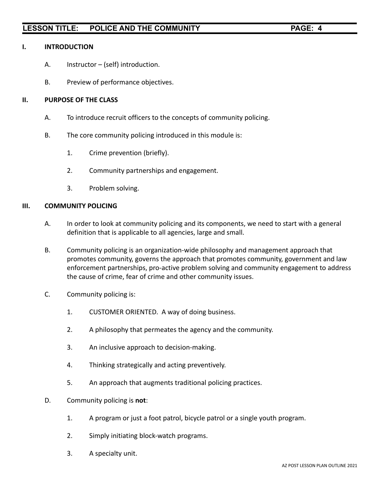#### **I. INTRODUCTION**

- A. Instructor (self) introduction.
- B. Preview of performance objectives.

### **II. PURPOSE OF THE CLASS**

- A. To introduce recruit officers to the concepts of community policing.
- B. The core community policing introduced in this module is:
	- 1. Crime prevention (briefly).
	- 2. Community partnerships and engagement.
	- 3. Problem solving.

#### **III. COMMUNITY POLICING**

- A. In order to look at community policing and its components, we need to start with a general definition that is applicable to all agencies, large and small.
- B. Community policing is an organization-wide philosophy and management approach that promotes community, governs the approach that promotes community, government and law enforcement partnerships, pro-active problem solving and community engagement to address the cause of crime, fear of crime and other community issues.
- C. Community policing is:
	- 1. CUSTOMER ORIENTED. A way of doing business.
	- 2. A philosophy that permeates the agency and the community.
	- 3. An inclusive approach to decision-making.
	- 4. Thinking strategically and acting preventively.
	- 5. An approach that augments traditional policing practices.
- D. Community policing is **not**:
	- 1. A program or just a foot patrol, bicycle patrol or a single youth program.
	- 2. Simply initiating block-watch programs.
	- 3. A specialty unit.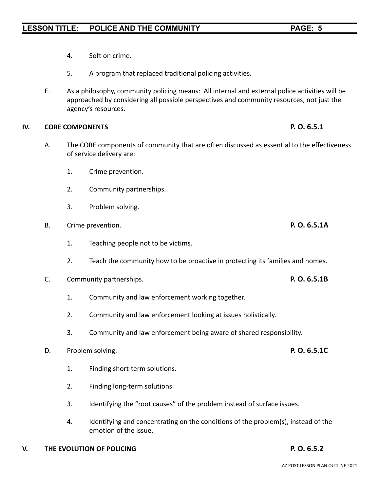- 4. Soft on crime.
- 5. A program that replaced traditional policing activities.
- E. As a philosophy, community policing means: All internal and external police activities will be approached by considering all possible perspectives and community resources, not just the agency's resources.

### **IV. CORE COMPONENTS P. O. 6.5.1**

- A. The CORE components of community that are often discussed as essential to the effectiveness of service delivery are:
	- 1. Crime prevention.
	- 2. Community partnerships.
	- 3. Problem solving.
- B. Crime prevention. **P. O. 6.5.1A**
	- 1. Teaching people not to be victims.
	- 2. Teach the community how to be proactive in protecting its families and homes.
- C. Community partnerships. **P. O. 6.5.1B**
	- 1. Community and law enforcement working together.
	- 2. Community and law enforcement looking at issues holistically.
	- 3. Community and law enforcement being aware of shared responsibility.
- D. Problem solving. **P. O. 6.5.1C**
	- 1. Finding short-term solutions.
	- 2. Finding long-term solutions.
	- 3. Identifying the "root causes" of the problem instead of surface issues.
	- 4. Identifying and concentrating on the conditions of the problem(s), instead of the emotion of the issue.
- **V. THE EVOLUTION OF POLICING P. O. 6.5.2**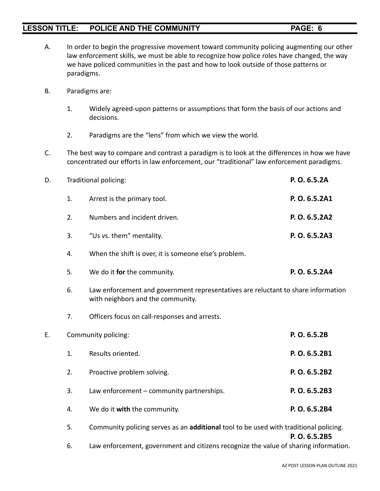- 
- A. In order to begin the progressive movement toward community policing augmenting our other law enforcement skills, we must be able to recognize how police roles have changed, the way we have policed communities in the past and how to look outside of those patterns or paradigms.
- B. Paradigms are:
	- 1. Widely agreed-upon patterns or assumptions that form the basis of our actions and decisions.
	- 2. Paradigms are the "lens" from which we view the world.
- C. The best way to compare and contrast a paradigm is to look at the differences in how we have concentrated our efforts in law enforcement, our "traditional" law enforcement paradigms.

| D. |    | Traditional policing:                                                                                                  | P.O. 6.5.2A   |
|----|----|------------------------------------------------------------------------------------------------------------------------|---------------|
|    | 1. | Arrest is the primary tool.                                                                                            | P. O. 6.5.2A1 |
|    | 2. | Numbers and incident driven.                                                                                           | P. O. 6.5.2A2 |
|    | 3. | "Us vs. them" mentality.                                                                                               | P. O. 6.5.2A3 |
|    | 4. | When the shift is over, it is someone else's problem.                                                                  |               |
|    | 5. | We do it for the community.                                                                                            | P. O. 6.5.2A4 |
|    | 6. | Law enforcement and government representatives are reluctant to share information<br>with neighbors and the community. |               |
|    | 7. | Officers focus on call-responses and arrests.                                                                          |               |
| Ε. |    | Community policing:                                                                                                    | P. O. 6.5.2B  |
|    | 1. | Results oriented.                                                                                                      | P. O. 6.5.2B1 |
|    | 2. | Proactive problem solving.                                                                                             | P. O. 6.5.2B2 |
|    | 3. | Law enforcement - community partnerships.                                                                              | P. O. 6.5.2B3 |
|    | 4. | We do it with the community.                                                                                           | P. O. 6.5.2B4 |
|    | 5. | Community policing serves as an additional tool to be used with traditional policing.                                  | P.O. 6.5.2B5  |

6. Law enforcement, government and citizens recognize the value of sharing information.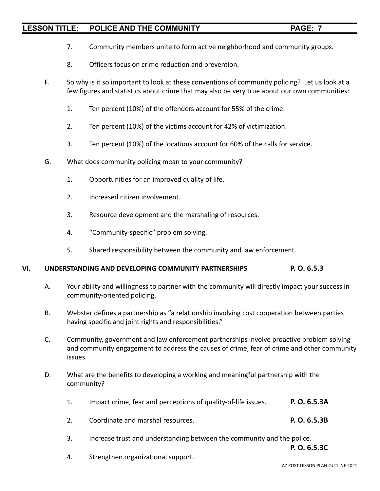- 7. Community members unite to form active neighborhood and community groups.
- 8. Officers focus on crime reduction and prevention.
- F. So why is it so important to look at these conventions of community policing? Let us look at a few figures and statistics about crime that may also be very true about our own communities:
	- 1. Ten percent (10%) of the offenders account for 55% of the crime.
	- 2. Ten percent (10%) of the victims account for 42% of victimization.
	- 3. Ten percent (10%) of the locations account for 60% of the calls for service.
- G. What does community policing mean to your community?
	- 1. Opportunities for an improved quality of life.
	- 2. Increased citizen involvement.
	- 3. Resource development and the marshaling of resources.
	- 4. "Community-specific" problem solving.
	- 5. Shared responsibility between the community and law enforcement.

### **VI. UNDERSTANDING AND DEVELOPING COMMUNITY PARTNERSHIPS P. O. 6.5.3**

- A. Your ability and willingness to partner with the community will directly impact your success in community-oriented policing.
- B. Webster defines a partnership as "a relationship involving cost cooperation between parties having specific and joint rights and responsibilities."
- C. Community, government and law enforcement partnerships involve proactive problem solving and community engagement to address the causes of crime, fear of crime and other community issues.
- D. What are the benefits to developing a working and meaningful partnership with the community?
	- 1. Impact crime, fear and perceptions of quality-of-life issues. **P. O. 6.5.3A**
	- 2. Coordinate and marshal resources. **P. O. 6.5.3B**
	- 3. Increase trust and understanding between the community and the police.

**P. O. 6.5.3C**

4. Strengthen organizational support.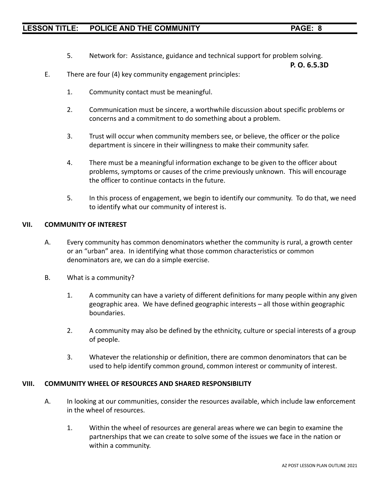5. Network for: Assistance, guidance and technical support for problem solving.

**P. O. 6.5.3D**

- E. There are four (4) key community engagement principles:
	- 1. Community contact must be meaningful.
	- 2. Communication must be sincere, a worthwhile discussion about specific problems or concerns and a commitment to do something about a problem.
	- 3. Trust will occur when community members see, or believe, the officer or the police department is sincere in their willingness to make their community safer.
	- 4. There must be a meaningful information exchange to be given to the officer about problems, symptoms or causes of the crime previously unknown. This will encourage the officer to continue contacts in the future.
	- 5. In this process of engagement, we begin to identify our community. To do that, we need to identify what our community of interest is.

### **VII. COMMUNITY OF INTEREST**

- A. Every community has common denominators whether the community is rural, a growth center or an "urban" area. In identifying what those common characteristics or common denominators are, we can do a simple exercise.
- B. What is a community?
	- 1. A community can have a variety of different definitions for many people within any given geographic area. We have defined geographic interests – all those within geographic boundaries.
	- 2. A community may also be defined by the ethnicity, culture or special interests of a group of people.
	- 3. Whatever the relationship or definition, there are common denominators that can be used to help identify common ground, common interest or community of interest.

#### **VIII. COMMUNITY WHEEL OF RESOURCES AND SHARED RESPONSIBILITY**

- A. In looking at our communities, consider the resources available, which include law enforcement in the wheel of resources.
	- 1. Within the wheel of resources are general areas where we can begin to examine the partnerships that we can create to solve some of the issues we face in the nation or within a community.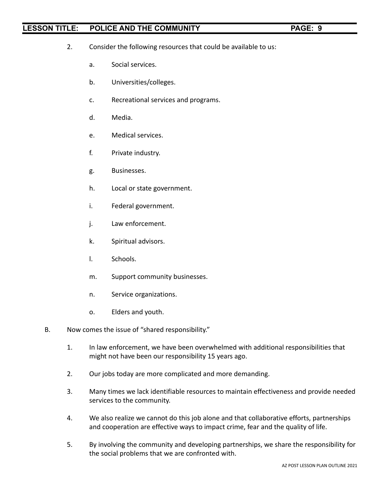- 2. Consider the following resources that could be available to us:
	- a. Social services.
	- b. Universities/colleges.
	- c. Recreational services and programs.
	- d. Media.
	- e. Medical services.
	- f. Private industry.
	- g. Businesses.
	- h. Local or state government.
	- i. Federal government.
	- j. Law enforcement.
	- k. Spiritual advisors.
	- l. Schools.
	- m. Support community businesses.
	- n. Service organizations.
	- o. Elders and youth.
- B. Now comes the issue of "shared responsibility."
	- 1. In law enforcement, we have been overwhelmed with additional responsibilities that might not have been our responsibility 15 years ago.
	- 2. Our jobs today are more complicated and more demanding.
	- 3. Many times we lack identifiable resources to maintain effectiveness and provide needed services to the community.
	- 4. We also realize we cannot do this job alone and that collaborative efforts, partnerships and cooperation are effective ways to impact crime, fear and the quality of life.
	- 5. By involving the community and developing partnerships, we share the responsibility for the social problems that we are confronted with.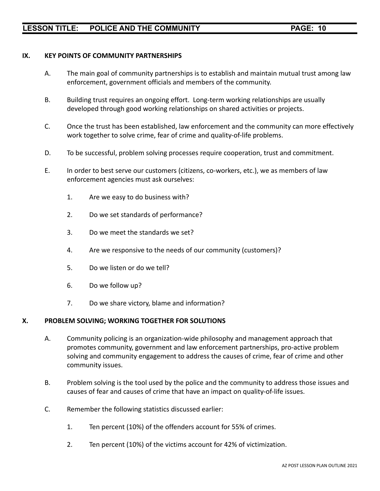### **IX. KEY POINTS OF COMMUNITY PARTNERSHIPS**

- A. The main goal of community partnerships is to establish and maintain mutual trust among law enforcement, government officials and members of the community.
- B. Building trust requires an ongoing effort. Long-term working relationships are usually developed through good working relationships on shared activities or projects.
- C. Once the trust has been established, law enforcement and the community can more effectively work together to solve crime, fear of crime and quality-of-life problems.
- D. To be successful, problem solving processes require cooperation, trust and commitment.
- E. In order to best serve our customers (citizens, co-workers, etc.), we as members of law enforcement agencies must ask ourselves:
	- 1. Are we easy to do business with?
	- 2. Do we set standards of performance?
	- 3. Do we meet the standards we set?
	- 4. Are we responsive to the needs of our community (customers)?
	- 5. Do we listen or do we tell?
	- 6. Do we follow up?
	- 7. Do we share victory, blame and information?

#### **X. PROBLEM SOLVING; WORKING TOGETHER FOR SOLUTIONS**

- A. Community policing is an organization-wide philosophy and management approach that promotes community, government and law enforcement partnerships, pro-active problem solving and community engagement to address the causes of crime, fear of crime and other community issues.
- B. Problem solving is the tool used by the police and the community to address those issues and causes of fear and causes of crime that have an impact on quality-of-life issues.
- C. Remember the following statistics discussed earlier:
	- 1. Ten percent (10%) of the offenders account for 55% of crimes.
	- 2. Ten percent (10%) of the victims account for 42% of victimization.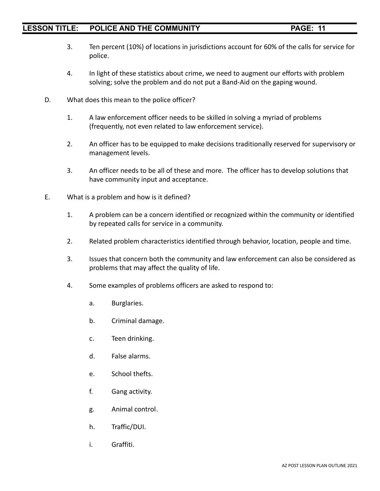- 3. Ten percent (10%) of locations in jurisdictions account for 60% of the calls for service for police.
- 4. In light of these statistics about crime, we need to augment our efforts with problem solving; solve the problem and do not put a Band-Aid on the gaping wound.
- D. What does this mean to the police officer?
	- 1. A law enforcement officer needs to be skilled in solving a myriad of problems (frequently, not even related to law enforcement service).
	- 2. An officer has to be equipped to make decisions traditionally reserved for supervisory or management levels.
	- 3. An officer needs to be all of these and more. The officer has to develop solutions that have community input and acceptance.
- E. What is a problem and how is it defined?
	- 1. A problem can be a concern identified or recognized within the community or identified by repeated calls for service in a community.
	- 2. Related problem characteristics identified through behavior, location, people and time.
	- 3. Issues that concern both the community and law enforcement can also be considered as problems that may affect the quality of life.
	- 4. Some examples of problems officers are asked to respond to:
		- a. Burglaries.
		- b. Criminal damage.
		- c. Teen drinking.
		- d. False alarms.
		- e. School thefts.
		- f. Gang activity.
		- g. Animal control.
		- h. Traffic/DUI.
		- i. Graffiti.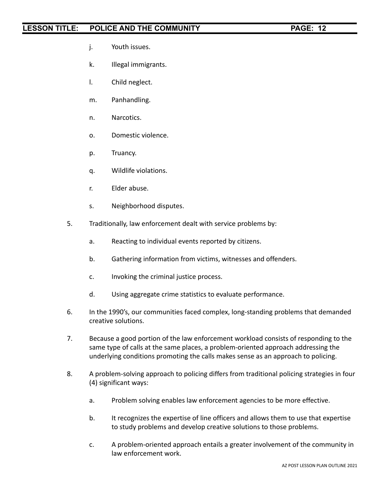- j. Youth issues.
- k. Illegal immigrants.
- l. Child neglect.
- m. Panhandling.
- n. Narcotics.
- o. Domestic violence.
- p. Truancy.
- q. Wildlife violations.
- r. Elder abuse.
- s. Neighborhood disputes.
- 5. Traditionally, law enforcement dealt with service problems by:
	- a. Reacting to individual events reported by citizens.
	- b. Gathering information from victims, witnesses and offenders.
	- c. Invoking the criminal justice process.
	- d. Using aggregate crime statistics to evaluate performance.
- 6. In the 1990's, our communities faced complex, long-standing problems that demanded creative solutions.
- 7. Because a good portion of the law enforcement workload consists of responding to the same type of calls at the same places, a problem-oriented approach addressing the underlying conditions promoting the calls makes sense as an approach to policing.
- 8. A problem-solving approach to policing differs from traditional policing strategies in four (4) significant ways:
	- a. Problem solving enables law enforcement agencies to be more effective.
	- b. It recognizes the expertise of line officers and allows them to use that expertise to study problems and develop creative solutions to those problems.
	- c. A problem-oriented approach entails a greater involvement of the community in law enforcement work.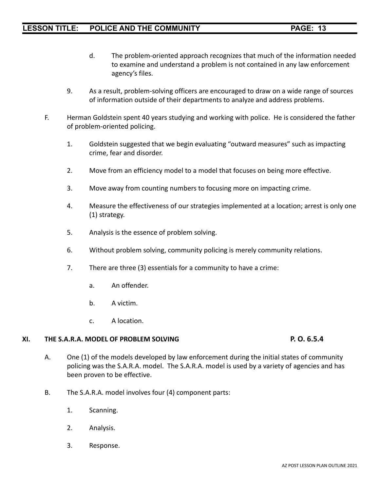- d. The problem-oriented approach recognizes that much of the information needed to examine and understand a problem is not contained in any law enforcement agency's files.
- 9. As a result, problem-solving officers are encouraged to draw on a wide range of sources of information outside of their departments to analyze and address problems.
- F. Herman Goldstein spent 40 years studying and working with police. He is considered the father of problem-oriented policing.
	- 1. Goldstein suggested that we begin evaluating "outward measures" such as impacting crime, fear and disorder.
	- 2. Move from an efficiency model to a model that focuses on being more effective.
	- 3. Move away from counting numbers to focusing more on impacting crime.
	- 4. Measure the effectiveness of our strategies implemented at a location; arrest is only one (1) strategy.
	- 5. Analysis is the essence of problem solving.
	- 6. Without problem solving, community policing is merely community relations.
	- 7. There are three (3) essentials for a community to have a crime:
		- a. An offender.
		- b. A victim.
		- c. A location.

### **XI. THE S.A.R.A. MODEL OF PROBLEM SOLVING P. O. 6.5.4**

- A. One (1) of the models developed by law enforcement during the initial states of community policing was the S.A.R.A. model. The S.A.R.A. model is used by a variety of agencies and has been proven to be effective.
- B. The S.A.R.A. model involves four (4) component parts:
	- 1. Scanning.
	- 2. Analysis.
	- 3. Response.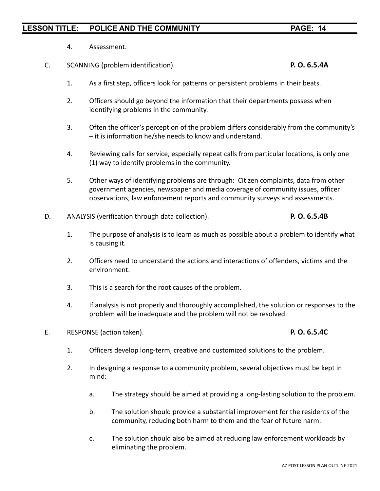- 4. Assessment.
- C. SCANNING (problem identification). **P. O. 6.5.4A**

## 1. As a first step, officers look for patterns or persistent problems in their beats.

- 2. Officers should go beyond the information that their departments possess when identifying problems in the community.
- 3. Often the officer's perception of the problem differs considerably from the community's – it is information he/she needs to know and understand.
- 4. Reviewing calls for service, especially repeat calls from particular locations, is only one (1) way to identify problems in the community.
- 5. Other ways of identifying problems are through: Citizen complaints, data from other government agencies, newspaper and media coverage of community issues, officer observations, law enforcement reports and community surveys and assessments.
- D. ANALYSIS (verification through data collection). **P. O. 6.5.4B**
	- 1. The purpose of analysis is to learn as much as possible about a problem to identify what is causing it.
	- 2. Officers need to understand the actions and interactions of offenders, victims and the environment.
	- 3. This is a search for the root causes of the problem.
	- 4. If analysis is not properly and thoroughly accomplished, the solution or responses to the problem will be inadequate and the problem will not be resolved.
- E. RESPONSE (action taken). **P. O. 6.5.4C**

- 1. Officers develop long-term, creative and customized solutions to the problem.
- 2. In designing a response to a community problem, several objectives must be kept in mind:
	- a. The strategy should be aimed at providing a long-lasting solution to the problem.
	- b. The solution should provide a substantial improvement for the residents of the community, reducing both harm to them and the fear of future harm.
	- c. The solution should also be aimed at reducing law enforcement workloads by eliminating the problem.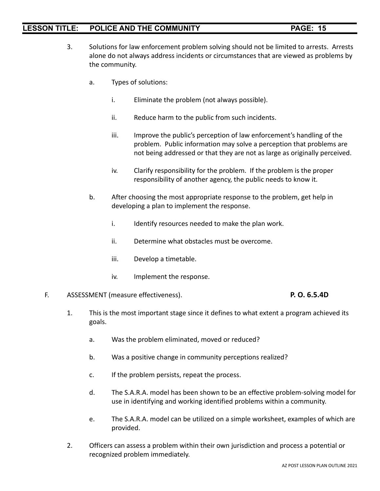- 3. Solutions for law enforcement problem solving should not be limited to arrests. Arrests alone do not always address incidents or circumstances that are viewed as problems by the community.
	- a. Types of solutions:
		- i. Eliminate the problem (not always possible).
		- ii. Reduce harm to the public from such incidents.
		- iii. Improve the public's perception of law enforcement's handling of the problem. Public information may solve a perception that problems are not being addressed or that they are not as large as originally perceived.
		- iv. Clarify responsibility for the problem. If the problem is the proper responsibility of another agency, the public needs to know it.
	- b. After choosing the most appropriate response to the problem, get help in developing a plan to implement the response.
		- i. Identify resources needed to make the plan work.
		- ii. Determine what obstacles must be overcome.
		- iii. Develop a timetable.
		- iv. Implement the response.

#### F. ASSESSMENT (measure effectiveness). **P. O. 6.5.4D**

- 1. This is the most important stage since it defines to what extent a program achieved its goals.
	- a. Was the problem eliminated, moved or reduced?
	- b. Was a positive change in community perceptions realized?
	- c. If the problem persists, repeat the process.
	- d. The S.A.R.A. model has been shown to be an effective problem-solving model for use in identifying and working identified problems within a community.
	- e. The S.A.R.A. model can be utilized on a simple worksheet, examples of which are provided.
- 2. Officers can assess a problem within their own jurisdiction and process a potential or recognized problem immediately.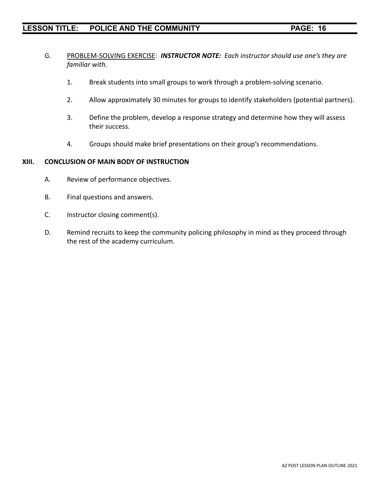- G. PROBLEM-SOLVING EXERCISE: *INSTRUCTOR NOTE: Each instructor should use one's they are familiar with.*
	- 1. Break students into small groups to work through a problem-solving scenario.
	- 2. Allow approximately 30 minutes for groups to identify stakeholders (potential partners).
	- 3. Define the problem, develop a response strategy and determine how they will assess their success.
	- 4. Groups should make brief presentations on their group's recommendations.

### **XIII. CONCLUSION OF MAIN BODY OF INSTRUCTION**

- A. Review of performance objectives.
- B. Final questions and answers.
- C. Instructor closing comment(s).
- D. Remind recruits to keep the community policing philosophy in mind as they proceed through the rest of the academy curriculum.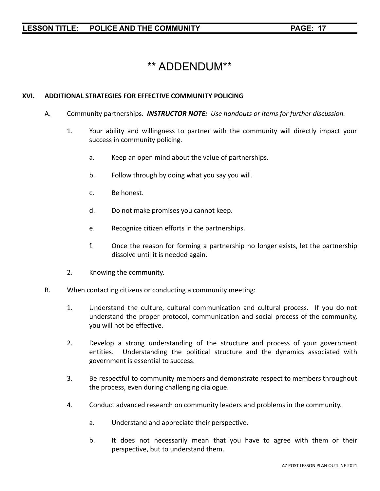# \*\* ADDENDUM\*\*

### **XVI. ADDITIONAL STRATEGIES FOR EFFECTIVE COMMUNITY POLICING**

- A. Community partnerships. *INSTRUCTOR NOTE: Use handouts or items for further discussion.*
	- 1. Your ability and willingness to partner with the community will directly impact your success in community policing.
		- a. Keep an open mind about the value of partnerships.
		- b. Follow through by doing what you say you will.
		- c. Be honest.
		- d. Do not make promises you cannot keep.
		- e. Recognize citizen efforts in the partnerships.
		- f. Once the reason for forming a partnership no longer exists, let the partnership dissolve until it is needed again.
	- 2. Knowing the community.
- B. When contacting citizens or conducting a community meeting:
	- 1. Understand the culture, cultural communication and cultural process. If you do not understand the proper protocol, communication and social process of the community, you will not be effective.
	- 2. Develop a strong understanding of the structure and process of your government entities. Understanding the political structure and the dynamics associated with government is essential to success.
	- 3. Be respectful to community members and demonstrate respect to members throughout the process, even during challenging dialogue.
	- 4. Conduct advanced research on community leaders and problems in the community.
		- a. Understand and appreciate their perspective.
		- b. It does not necessarily mean that you have to agree with them or their perspective, but to understand them.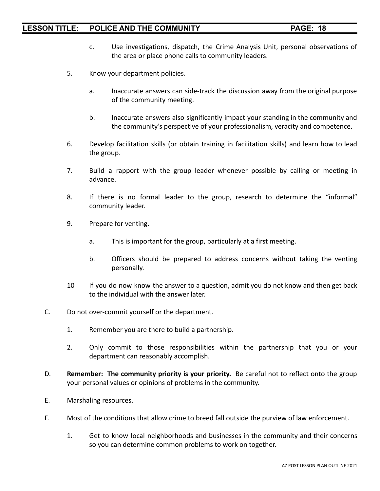- c. Use investigations, dispatch, the Crime Analysis Unit, personal observations of the area or place phone calls to community leaders.
- 5. Know your department policies.
	- a. Inaccurate answers can side-track the discussion away from the original purpose of the community meeting.
	- b. Inaccurate answers also significantly impact your standing in the community and the community's perspective of your professionalism, veracity and competence.
- 6. Develop facilitation skills (or obtain training in facilitation skills) and learn how to lead the group.
- 7. Build a rapport with the group leader whenever possible by calling or meeting in advance.
- 8. If there is no formal leader to the group, research to determine the "informal" community leader.
- 9. Prepare for venting.
	- a. This is important for the group, particularly at a first meeting.
	- b. Officers should be prepared to address concerns without taking the venting personally.
- 10 If you do now know the answer to a question, admit you do not know and then get back to the individual with the answer later.
- C. Do not over-commit yourself or the department.
	- 1. Remember you are there to build a partnership.
	- 2. Only commit to those responsibilities within the partnership that you or your department can reasonably accomplish.
- D. **Remember: The community priority is your priority.** Be careful not to reflect onto the group your personal values or opinions of problems in the community.
- E. Marshaling resources.
- F. Most of the conditions that allow crime to breed fall outside the purview of law enforcement.
	- 1. Get to know local neighborhoods and businesses in the community and their concerns so you can determine common problems to work on together.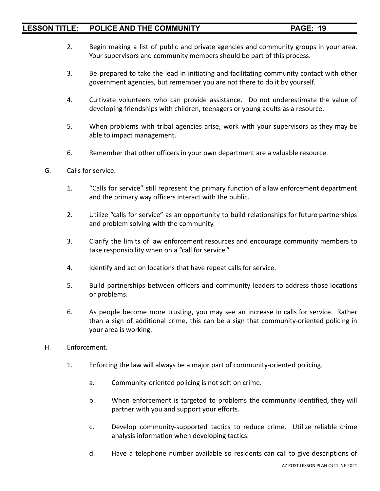- 2. Begin making a list of public and private agencies and community groups in your area. Your supervisors and community members should be part of this process.
- 3. Be prepared to take the lead in initiating and facilitating community contact with other government agencies, but remember you are not there to do it by yourself.
- 4. Cultivate volunteers who can provide assistance. Do not underestimate the value of developing friendships with children, teenagers or young adults as a resource.
- 5. When problems with tribal agencies arise, work with your supervisors as they may be able to impact management.
- 6. Remember that other officers in your own department are a valuable resource.
- G. Calls for service.
	- 1. "Calls for service" still represent the primary function of a law enforcement department and the primary way officers interact with the public.
	- 2. Utilize "calls for service" as an opportunity to build relationships for future partnerships and problem solving with the community.
	- 3. Clarify the limits of law enforcement resources and encourage community members to take responsibility when on a "call for service."
	- 4. Identify and act on locations that have repeat calls for service.
	- 5. Build partnerships between officers and community leaders to address those locations or problems.
	- 6. As people become more trusting, you may see an increase in calls for service. Rather than a sign of additional crime, this can be a sign that community-oriented policing in your area is working.
- H. Enforcement.
	- 1. Enforcing the law will always be a major part of community-oriented policing.
		- a. Community-oriented policing is not soft on crime.
		- b. When enforcement is targeted to problems the community identified, they will partner with you and support your efforts.
		- c. Develop community-supported tactics to reduce crime. Utilize reliable crime analysis information when developing tactics.
		- d. Have a telephone number available so residents can call to give descriptions of